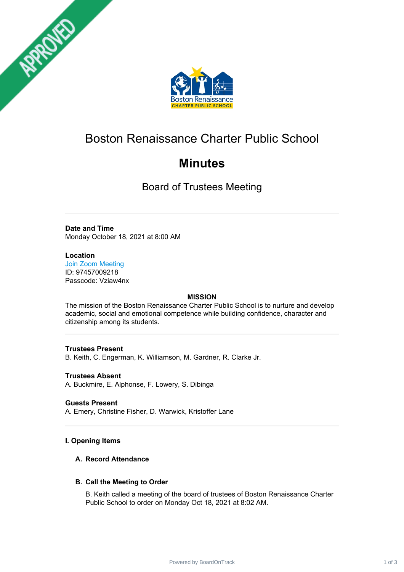



# Boston Renaissance Charter Public School

# **Minutes**

Board of Trustees Meeting

## **Date and Time**

Monday October 18, 2021 at 8:00 AM

## **Location**

**Join Zoom [Meeting](https://www.google.com/url?q=https://zoom.us/j/97457009218?pwd%3DRTIvcEV0UnhreS9SQm0vaGZWZlBDQT09&sa=D&source=calendar&usg=AOvVaw2j-VrKdi8uzWbIvTk6bHcG)** ID: 97457009218 Passcode: Vziaw4nx

## **MISSION**

The mission of the Boston Renaissance Charter Public School is to nurture and develop academic, social and emotional competence while building confidence, character and citizenship among its students.

## **Trustees Present**

B. Keith, C. Engerman, K. Williamson, M. Gardner, R. Clarke Jr.

## **Trustees Absent**

A. Buckmire, E. Alphonse, F. Lowery, S. Dibinga

## **Guests Present**

A. Emery, Christine Fisher, D. Warwick, Kristoffer Lane

## **I. Opening Items**

## **A. Record Attendance**

## **B. Call the Meeting to Order**

B. Keith called a meeting of the board of trustees of Boston Renaissance Charter Public School to order on Monday Oct 18, 2021 at 8:02 AM.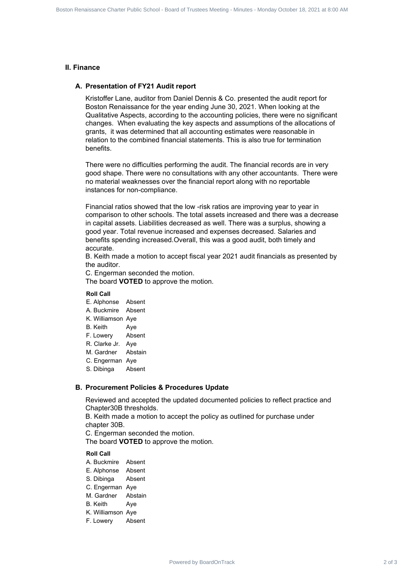#### **II. Finance**

#### **A. Presentation of FY21 Audit report**

Kristoffer Lane, auditor from Daniel Dennis & Co. presented the audit report for Boston Renaissance for the year ending June 30, 2021. When looking at the Qualitative Aspects, according to the accounting policies, there were no significant changes. When evaluating the key aspects and assumptions of the allocations of grants, it was determined that all accounting estimates were reasonable in relation to the combined financial statements. This is also true for termination benefits. **B.** Finance and their state state charter is an extended by Board of 2 of 2 of 2 of 3 Board of 2 of 2 of 3 Boston Renaissance Charter Meeting - Board of Charter Meeting - American Charter Meeting - Charter Meeting - Chart

There were no difficulties performing the audit. The financial records are in very good shape. There were no consultations with any other accountants. There were no material weaknesses over the financial report along with no reportable instances for non-compliance.

Financial ratios showed that the low -risk ratios are improving year to year in comparison to other schools. The total assets increased and there was a decrease in capital assets. Liabilities decreased as well. There was a surplus, showing a good year. Total revenue increased and expenses decreased. Salaries and benefits spending increased.Overall, this was a good audit, both timely and accurate.

B. Keith made a motion to accept fiscal year 2021 audit financials as presented by the auditor.

C. Engerman seconded the motion.

The board **VOTED** to approve the motion.

#### **Roll Call**

- E. Alphonse Absent
- A. Buckmire Absent
- K. Williamson Aye
- B. Keith Aye
- F. Lowery Absent
- R. Clarke Jr. Aye
- M. Gardner Abstain
- C. Engerman Aye
- S. Dibinga Absent

#### **B. Procurement Policies & Procedures Update**

Reviewed and accepted the updated documented policies to reflect practice and Chapter30B thresholds.

B. Keith made a motion to accept the policy as outlined for purchase under chapter 30B.

C. Engerman seconded the motion.

The board **VOTED** to approve the motion.

#### **Roll Call**

- A. Buckmire Absent
- E. Alphonse Absent
- S. Dibinga Absent
- C. Engerman Aye
- M. Gardner Abstain
- B. Keith Aye
- K. Williamson Aye
- F. Lowery Absent